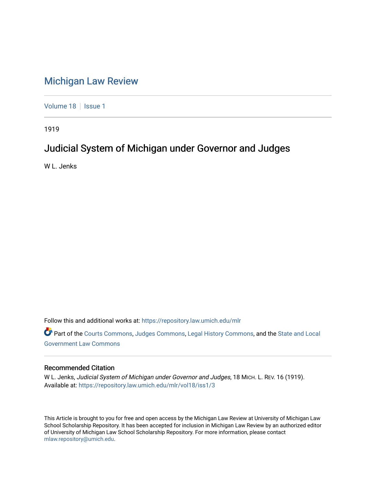## [Michigan Law Review](https://repository.law.umich.edu/mlr)

[Volume 18](https://repository.law.umich.edu/mlr/vol18) | [Issue 1](https://repository.law.umich.edu/mlr/vol18/iss1)

1919

## Judicial System of Michigan under Governor and Judges

W L. Jenks

Follow this and additional works at: [https://repository.law.umich.edu/mlr](https://repository.law.umich.edu/mlr?utm_source=repository.law.umich.edu%2Fmlr%2Fvol18%2Fiss1%2F3&utm_medium=PDF&utm_campaign=PDFCoverPages) 

Part of the [Courts Commons,](http://network.bepress.com/hgg/discipline/839?utm_source=repository.law.umich.edu%2Fmlr%2Fvol18%2Fiss1%2F3&utm_medium=PDF&utm_campaign=PDFCoverPages) [Judges Commons](http://network.bepress.com/hgg/discipline/849?utm_source=repository.law.umich.edu%2Fmlr%2Fvol18%2Fiss1%2F3&utm_medium=PDF&utm_campaign=PDFCoverPages), [Legal History Commons,](http://network.bepress.com/hgg/discipline/904?utm_source=repository.law.umich.edu%2Fmlr%2Fvol18%2Fiss1%2F3&utm_medium=PDF&utm_campaign=PDFCoverPages) and the [State and Local](http://network.bepress.com/hgg/discipline/879?utm_source=repository.law.umich.edu%2Fmlr%2Fvol18%2Fiss1%2F3&utm_medium=PDF&utm_campaign=PDFCoverPages)  [Government Law Commons](http://network.bepress.com/hgg/discipline/879?utm_source=repository.law.umich.edu%2Fmlr%2Fvol18%2Fiss1%2F3&utm_medium=PDF&utm_campaign=PDFCoverPages) 

### Recommended Citation

W L. Jenks, Judicial System of Michigan under Governor and Judges, 18 MICH. L. REV. 16 (1919). Available at: [https://repository.law.umich.edu/mlr/vol18/iss1/3](https://repository.law.umich.edu/mlr/vol18/iss1/3?utm_source=repository.law.umich.edu%2Fmlr%2Fvol18%2Fiss1%2F3&utm_medium=PDF&utm_campaign=PDFCoverPages)

This Article is brought to you for free and open access by the Michigan Law Review at University of Michigan Law School Scholarship Repository. It has been accepted for inclusion in Michigan Law Review by an authorized editor of University of Michigan Law School Scholarship Repository. For more information, please contact [mlaw.repository@umich.edu.](mailto:mlaw.repository@umich.edu)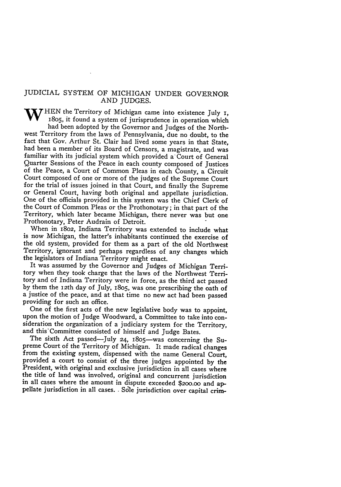# JUDICIAL SYSTEM OF MICHIGAN UNDER GOVERNOR

**AV** HEN the Territory of Michigan came into existence July 1. **1805,** it found a system of jurisprudence in operation which had been adopted by the Governor and Judges of the Northwest Territory from the laws of Pennsylvania, due no doubt, to the fact that Gov. Arthur St. Clair had lived some years in that State, had been a member of its Board of Censors, a magistrate, and was familiar with its judicial system which provided a Court of General Quarter Sessions of the Peace in each county composed of Justices of the Peace, a Court of Common Pleas in each County, a Circuit Court composed of one or more of the judges of the Supreme Court for the trial of issues joined in that Court, and finally the Supreme or General Court, having both original and appellate jurisdiction. One of the officials provided in this system was the Chief Clerk of the Court of Common Pleas or the Prothonotary; in that part of the Territory, which later became Michigan, there never was but one Prothonotary, Peter Audrain of Detroit.

When in 1802, Indiana Territory was extended to include what is now Michigan, the latter's inhabitants continued the exercise of the old system, provided for them as a part of the old Northwest Territory, ignorant and perhaps regardless of any changes which the legislators of Indiana Territory might enact.

It was assumed by the Governor and Judges of Michigan Territory when they took charge that the laws of the Northwest Territory and of Indiana Territory were in force, as the third act passed by them the 12th day of July, i8o5, was one prescribing the oath of a justice of the peace, and at that time no new act had been passed providing for such an office.

One of the first acts of the new legislative body was to appoint, upon the motion of Judge Woodward, a Committee to take into consideration the organization of a judiciary system for the Territory, and this-Committee consisted of himself and judge Bates.

The sixth Act passed-July 24, 1805-was concerning the Supreme Court of the Territory of Michigan. It made radical changes from the existing system, dispensed with the name General Court, provided a court to consist of the three judges appointed by the President, with original and exclusive jurisdiction in all cases where<br>the title of land was involved, original and concurrent jurisdiction in all cases where the amount in dispute exceeded \$200.00 and ap-<br>pellate jurisdiction in all cases. Sole jurisdiction over capital crim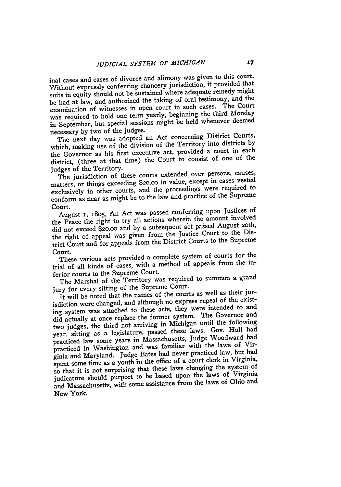inal cases and cases of divorce and alimony was given to this court. Without expressly conferring chancery jurisdiction, it provided that suits in equity should not be sustained where adequate remedy might be had at law, and authorized the taking of oral testimony, and the examination of witnesses in open court in such cases. The Court was required to hold one term yearly, beginning the third Monday in September, but special sessions might be held whenever deemed necessary by two of the judges.

The next day was adopted an Act concerning District Courts, which, making use of the division of the Territory into districts by the Governor as his first executive act, provided a court in each district, (three at that time) the Court to consist of one of the judges of the Territory.

The jurisdiction of these courts extended over persons, causes, matters, or things exceeding \$20.oo in value, except in cases vested exclusively in other courts, and the proceedings were required to conform as near as might be to the law and practice of the Supreme Conrt.

August **i,** 1805, An Act was passed conferring upon Justices of the Peace the right to try all actions wherein the' amount involved did not exceed \$20.00 and by a subsequent act passed August 20th, the right of appeal was given from the Justice Court to the District Court and for appeals from the District Courts to the Supreme Court.

These various acts provided a complete system of courts for the trial of all kinds of cases, with a method of appeals from the inferior courts to the Supreme Court.

The Marshal of the Territory was required to summon a grand jury for every sitting of the Supreme Court.

It will be noted that the names of the courts as well as their jurisdiction were changed, and although no express repeal of the existing system was attached to these acts, they were intended to and did actually at once replace the former system. The Governor and two judges, the third not arriving in Michigan until the following year, sitting as a legislature, passed these laws. Gov. Hull had practiced law some years in Massachusetts, Judge Woodward had practiced in Washington and was familiar with the laws of Virginia and Maryland. Judge Bates had never practiced law, but had spent some time as a youth in the office of a court clerk in Virginia, so that it is not surprising that these laws changing the system of judicature should purport to be based upon the laws of Virginia and Massachusetts, with some assistance from the laws of Ohio and New York.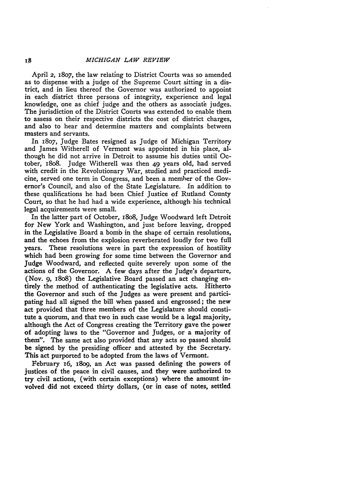April 2, i8o7, the law relating to District Courts was so amended as to dispense with a judge of the Supreme Court sitting in a district, and in lieu thereof the Governor was authorized to appoint in each district three persons of integrity, experience and legal knowledge, one as chief judge and the others as associate judges. The jurisdiction of the District Courts was extended to enable them to assess on their respective districts the cost of district charges, and also to hear and determine matters and complaints between masters and servants.

In 1807, Judge Bates resigned as Judge of Michigan Territory and James Witherell of Vermont was appointed in his place, although he did not arrive in Detroit to assume his duties until October, i8o8. Judge Witherell was then 49 years old, had served with credit in the Revolutionary War, studied and practiced medicine, served one term in Congress, and been a member of the Governor's Council, and also of the State Legislature. In addition to these qualifications he had been Chief Justice of Rutland County Court, so that he had had a wide experience, although-his technical legal acquirements were small.

In the latter part of October, i8o8, Judge Woodward left Detroit for New York and Washington, and just before leaving, dropped in the Legislative Board a bomb in the shape of certain resolutions, and the echoes from the explosion reverberated loudly for two full years. These resolutions were in part the expression of hostility which had been growing for some time between the Governor and Judge Woodward, and reflected quite severely upon some of the actions of the Governor. A few days after the Judge's departure, (Nov. 9, i8o8) the Legislative Board passed an act changing entirely the method of authenticating the legislative acts. Hitherto the Governor and such of the Judges as were present and participating had all signed the bill when passed and engrossed; the new act provided that three members of the Legislature should constitute a quorum, and that two in such case would be a legal majority, although the Act of Congress creating the Territory gave the power of adopting laws to the "Governor and Judges, or a majority of them". The same act also provided that any acts so passed should be signed by the presiding officer and attested by the Secretary. This act purported to be adopted from the laws of Vermont.

February i6, i8o9, an Act was passed defining the powers of justices of the peace in civil causes, and they were authorized to try civil actions, (with certain exceptions) where the amount involved did not exceed thirty dollars, (or in case of notes, settled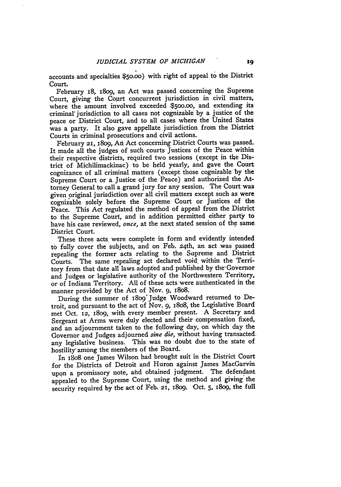accounts and specialties **\$50.oo)** with right of appeal to the District Court.

February 18, i8o9, an Act was passed concerning the Supreme Court, giving the Court concurrent jurisdiction in civil matters. where the amount involved exceeded \$500.00, and extending its criminal jurisdiction to all cases not cognizable **by** a justice of the peace or District Court, and to all cases where the United States was a party. It also gave appellate jurisdiction from the District Courts in criminal prosecutions and civil actions.

February **21,** 18o9, An Act concerning District Courts was passed. It made all the judges of such courts Justices of the Peace within their respective districts, required two sessions (except in the District of Michilimackinac) to be held yearly, and gave the Court cognizance of all criminal matters (except those cognizable **by** the Supreme Court or a Justice of the Peace) and authorized the Attorney General to call a grand jury for any session. The Court was given original jurisdiction over all civil matters except such as were cognizable solely before the Supreme Court or Justices of the Peace. This Act regulated the method of appeal from the District to the Supreme Court, and in addition permitted either party to have his case reviewed, once, at the next stated session of the same. District Court.

These three acts were complete in form and evidently intended to fully cover the subjects, and on Feb. 24th, an act was passed repealing the former acts relating to the Supreme and District<br>Courts. The same repealing act declared void within the Terri-The same repealing act declared void within the Territory from that date all laws adopted and published by the Governor and Judges or legislative authority of the Northwestern Territory, or of Indiana Territory. All of these acts were authenticated in the manner provided by the Act of Nov. 9, i8o8.

During the summer of 1809 Judge Woodward returned to Detroit, and pursuant to the act of Nov. 9, i8o8, the Legislative Board met Oct. **12,** 18O9, with every member present. **A** Secretary and Sergeant at Arms were duly elected and their compensation fixed, and an adjournment taken to the following day, on which day the Governor and Judges adjourned sine *die,* without having transacted. any legislative business. This was no doubt due to the state of hostility' among the members of the Board.

in i&o8 one James Wilson had brought suit in the District Court for the Districts of Detroit and Huron against James MacGarvin -upon a promissory note, ahd obtained judgment. The defendant appealed to the Supreme. Court, using the method and giving the security required by the act of Feb. **21,** 18o9. Oct. 5, i8o9, the full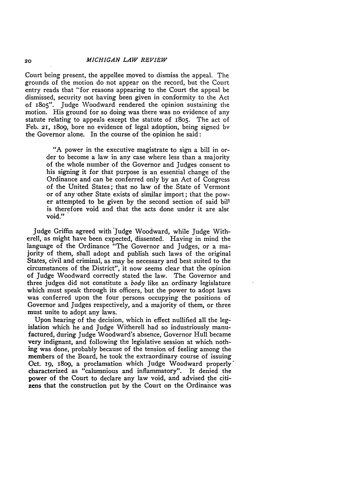Court being present, the appellee moved to dismiss the appeal. The grounds of the motion do not appear on the record, but the Court entry reads that "for reasons appearing to the Court the appeal be dismissed, security not having been given in conformity to the Act of i8o5". Judge Woodward rendered the opinion sustaining the motion. His ground for so doing was there was no evidence of any statute relating to appeals except the statute of i8o5. The act of Feb. 21, 1800, bore no evidence of legal adoption, being signed by the Governor alone. In the course of the opinion he said:

> "A power in the executive magistrate to sign a bill in order to become a law in any case where less than a majority of the whole number of the Governor and Judges consent to his signing it for that purpose is an essential change of the Ordinance and can be conferred only by an Act of Congress of the United States; that no law of the State of Vermont or of any other State exists of similar import; that the power attempted to be given by the second section of said bill is therefore void and that the acts done under it are alsc void."

Judge Griffin agreed with 'Judge Woodward, while Judge Witherell, as might have been expected, dissented. Having in mind the language of the Ordinance "The Governor and Judges, or a majority of them, shall adopt and publish such laws of the original States, civil and criminal, as may be necessary and best suited to the circumstances of the District", it now seems clear that the opinion of Judge Woodward correctly stated the law. The Governor and three judges did not constitute a *body* like an ordinary legislature which must speak through its officers, but the power to adopt laws was conferred upon the four persons occupying the positions of Governor and Judges respectively, and a majority of them, or three must unite to adopt any laws.

Upon hearing of the decision, which in effect nullified all the legislation which he and Judge Witherell had so industriously manufactured, during Judge Woodward's absence, Governor Hull became very indignant, and following the legislative session at which nothing was done, probably because of the tension of feeling among the members of the Board, he took the extraordinary course of issuing Oct. *19,* 18o9, a proclamation which Judge Woodward properly characterized as "calumnious and inflammatory". It denied the power of the Court to declare any law void, and advised the citizens that the construction put by the Court on the Ordinance was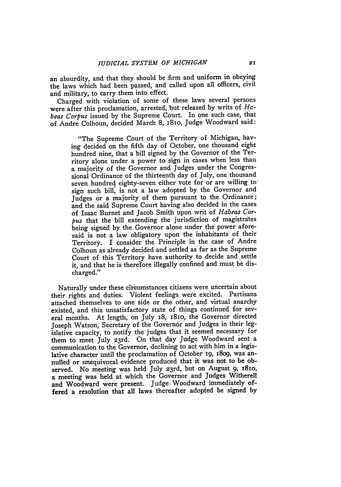an absurdity, and that they should be firm and uniform in obeying the laws which had been passed, and called upon all officers, civil and military, to carry them into effect.

Charged with violation of some of these laws several persons were after this proclamation, arrested, but released **by** writs of *Hrbeas Corpus* issued **by** the Supreme Court. In one such case, that of Andre Colhoun, decided March **8,** I8io, Judge Woodward said:

"The Supreme Court of the Territory of Michigan, having decided on the fifth day of October, one thousand eight hundred nine, that a bill signed **by** the Governor of the Territory alone under a power to sign in cases when less than a majority of the Governor and Judges under the Congressional Ordinance of the thirteenth day of July, one thousand seven hundred eighty-seven either vote for or are willing to' sign such bill, is not **a\*** law adopted **by** the Governor and Judges or a majority of them pursuant to the Ordinance; and the said Supreme Court having also decided in the cases of Isaac Burnet and Jacob Smith upon writ of *Habeas Corpus* that the bill extending the jurisdiction of magistrates being signed by the Governor alone under the power aforesaid is not a law obligatory upon the inhabitants of their Territory. I consider the Principle in the case of Andre Colhoun as already decided and settled as far as the Supreme Court of this Territory have authority to decide and settle it, and that he is therefore illegally confined and must be discharged."

Naturally under these circumstances citizens were uncertain about their rights and duties. Violent feelings were excited. Partisans attached themselves to one side or the other, and virtual anarchy existed, and this unsatisfactory state of things continued for several months. At length, on July 18, I8io, the Governor directed Joseph Watson, Secretary of the Governor and Judges in their legislative capacity, to notify the judges that it seemed necessary for them to meet **July** 23rd. On that day Judge Woodward sent a communication to the Governor, declining to act with him in a legislative character until the proclamation of October i9, **i8o9,** was annulled or unequivocal evidence produced that it was not to be observed. No meeting was held **July** 23rd, but on August **9,** I8ro, a meeting was held at which the Governor and Judges Witherell and Woodward were present. Judge Woodward immediately offered a resolution that all laws thereafter adopted be signed **by**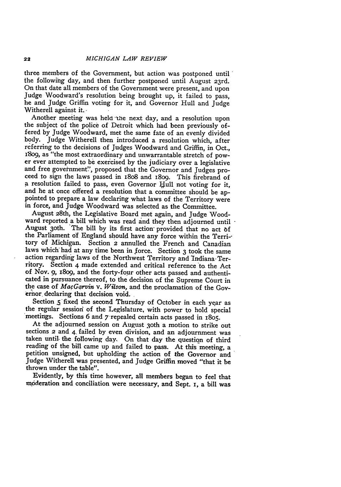three members of the Government, but action was postponed until the following day, and then further postponed until August 23rd.<br>On that date all members of the Government were present, and upon Iudge Woodward's resolution being brought up, it failed to pass, he and Judge Griffin voting for it, and Governor Hull and Judge Witherell against it.<br>Another meeting was held the next day, and a resolution upon

the subject of the police of Detroit which had been previously offered by Judge Woodward, met the same fate of an evenly divided body. Judge Witherell then introduced a resolution which, after referring to the decisions of Judges Woodward and Griffin, in Oct., i8og, as "the most extraordinary and unwarrantable stretch of power ever attempted to be exercised by the judiciary over a legislative and free government", proposed that the Governor and Judges pro- ceed to sign the laws passed in 18o8 and 18o9. This firebrand of a resolution failed to pass, even Governor Hull not voting for it, and he at once offered a resolution that a committee should be ap-<br>pointed to prepare a law declaring what laws of the Territory were in force, and Judge Woodward was selected as the Committee.

August 28th, the Legislative Board met again, and Judge Woodward reported a bill which was read and they then adjourned until . August 3oth. 'The bill by its first action- provided that no act **6f** the Parliament **of** England should have any force within the Territory of Michigan. Section 2 annulled the French and Canadian laws which had at any time been in force. Section 3 took the same action regarding laws of the Northwest Territory and Indiana-Territory. Section 4 made extended and critical reference to the Act of Nov. **9,** i8o9, and the forty-four other acts passed and authenticated in pursuance thereof, to the decision of the Supreme Court in the case of *MacGarvin* v. *Wilron,* and the proclamation of the Governor. declaring that decision void.

Section 5 fixed the second Thursday of October in each year as the regular sessiori of the Legislature, with power to hold special meetings. Sections 6 and 7-repealed certain acts passed in 18o5.

At the adjourned session on August 3oth a motion to strike out sections **2** and 4. failed by even division, and an adjournment was taken until. the following day, On that day the question of third reading of the bill came up and failed to pass. At this meeting, a petition unsigned, but upholding the action of the Governor and Judge Witherell was presented, and Judge Griffin moved "that it be thrown under the table".

Evidently, by this time however, all members began to feel that moderation and conciliation were necessary, and Sept. **1**, a bill was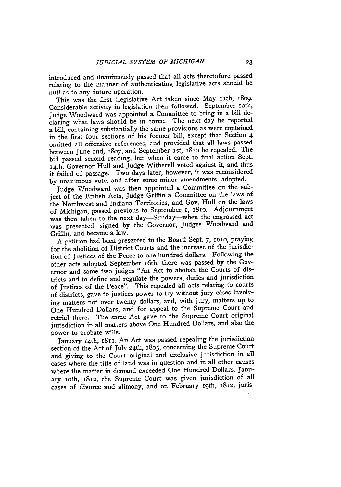introduced and tinanimously passed that all acts theretofore passed relating to the manner of authenticating legislative acts should be null as to any future operation.

This was the first Legislative Act taken since May iith, **i8o9.** Considerable activity in legislation then followed. September 12th, Judge Woodward was appointed a Committee to bring in a bill declaring what laws should be in force. The next day he reported a bill, containing substantially the same provisions as were contained in the first four sections of his former bill, except that Section 4 omitted all offensive references, and provided that all laws passed between June 2nd, I8O7, and September ist, i8io be repealed. The bill passed second reading, but when it came to final action Sept. I4th, Governor Hull and Judge Witherell voted against it, and thus it failed of passage. Two days later, however, it was reconsidered by unanimous vote, and after some minor amendments, adopted.

Judge Woodward was then appointed a Committee on the subject of the British Acts, Judge Griffin a Committee on the laws of the Northwest and Indiana Territories, and Gov. Hull on the laws of Michigan, passed previous to September **i,** 18io. Adjournment was then taken to the next day—Sunday—when the engrossed act was presented, signed by the Governor, Judges Woodward and Griffin, and became a law.

A petition had been presented to the Board Sept. 7, 1810, praying for the abolition of District Courts and the increase of the jurisdiction of Justices of the Peace to one hundred dollars. Following the other acts adopted September i6th, there was passed by the Governor and same two judges "An Act to abolish the Courts of districts and to define and regulate the powers, duties and jurisdiction of Justices of the Peace". This repealed all acts relating to courts of districts, gave to justices power to try without jury cases involving matters not over twenty dollars, and, with jury, matters up to One Hundred Dollars, and for appeal to the Supreme Court and retrial there. The same Act gave to the Supreme Court original jurisdiction in all matters above One Hundred Dollars, and also the power to probate wills.

January 14th, 1811, An Act was passed repealing the jurisdiction section of the Act of July 24th, **1805,** concerning the Supreme Court and giving to the Court original and exclusive jurisdiction in all cases where the title of land was in question and in all other causes where the matter in demand exceeded One Hundred Dollars. January 7oth, 1812, the Supreme Court was given jurisdiction of all cases of divorce and alimony, and on February 19th, 1812, juris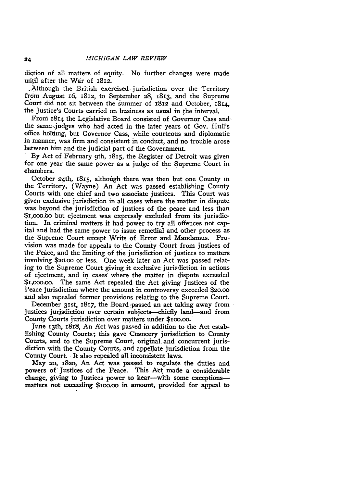diction of all matters of equity. No further changes were made unitil after the War of 1812.

..Although the British exercised. jurisdiction over the Territory from August 16, 1812, to September 28, 1813, and the Supreme Court did not sit between the Summer of **1812** and October, **I814,** the Justice's Courts carried on business as usual in the interval.

From 1814 the Legislative Board consisted of Governor Cass and the same-judges who had acted in the later years of Gov. Hull's office hodming, but Governor Cass, while courteous and diplomatic in manner, was firm and consistent in conduct, and no trouble arose

By Act of February 9th, 1815, the Register of Detroit was given for one year the same power as a judge of the Supreme Court in chambers.

October 24th, 1815, although there was then but one County in the Territory, (Wayne) An Act was passed establishing County Courts with one chief and two associate justices. This Court was given exclusive jurisdiction in all cases where the matter in dispute was beyond the jurisdiction of justices of the peace and less than \$1,000.00 but ejectment was expressly excluded from its jurisdiction. In criminal matters it had power to try all offences not capital and had the same power to issue remedial and other process as the Supreme Court except Writs of Error and Mandamus. Provision was made for appeals to the County Court from justices of the Peace, and the limiting of the jurisdiction of justices to matters involving **\$26.oo** or less. One week later an Act was passed relating to the Supreme Court giving it exclusive jurisdiction in actions of eiectment, and in cases where the matter in dispute exceeded \$1,000.00. The same Act repealed the Act giving Justices of the Peace iurisdiction where the amount in controversy exceeded \$20.00 and also repealed former provisions relating to the Supreme Court.

December **3Ist, 1817,** the Board\_:passed an act taking away from justices jurisdiction over certain subjects--chiefly land--and from County Courts jurisdiction over matters under \$ioo.oo.

June 13th, 1818. An Act was passed in addition to the Act establishing County Courts'; this gave Chancery jurisdiction to County Courts, and to the Supreme Court, original. and concurrent jurisdiction with the County Courts, and appellate jurisdiction from the County Court.. It also repealed all inconsistent laws.

May **2o,** i820, An Act was passed to regulate the duties and powers of Justices of the Peace. This Act made a considerable change, giving to Justices power to hear-with some exceptionsmatters not exceeding **\$ioo.oo** in amount, provided for appeal to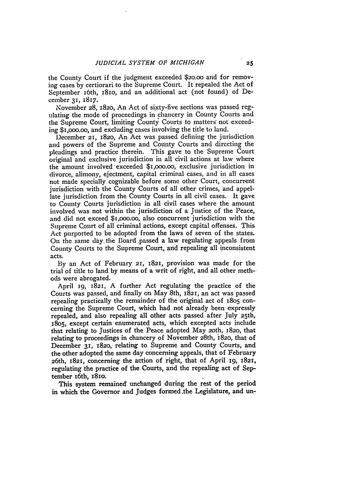the County Court if the judgment exceeded \$2o.oo and for removing cases by certiorari to the Supreme Court. It repealed the Act of September 16th, 1810, and an additional act (not found) of December **31,** i817.

November 28, I82o, An Act of sixty-five sections was passed regulating the mode of proceedings in chancery in County Courts and the Supreme Court, limiting County Courts to matters not exceeding \$i,ooo.oo, and excluding cases involving the title to land.

December **21,** 182o, An Act was passed defining the jurisdiction and powers of the Supreme and County Courts and directing the pleadings and practice therein. This gave to the Supreme Court original and exclusive jurisdiction in all civil actions at law where the amount involved' exceeded \$iooo.oo, exclusive jurisdiction in divorce, alimony, ejectment, capital criminal cases, and in all cases not made specially cognizable before some other Court, concurrent jurisdiction with the County Courts of all other crimes, and appellate jurisdiction from the County Courts in all civil cases. It gave to County Courts jurisdiction in all civil cases where the amount involved was not within the jurisdiction of a Justice of the Peace, and did not exceed \$i,ooo.oo, also concurrent jurisdiction with the Supreme Court of all criminal actions, except capital offenses. This Act purported to be adopted from the laws of seven of the states. On the same day the Board passed a law regulating appeals from County Courts to the Supreme Court, and repealing all inconsistent acts.

By an Act of February **21,** 1821, provision was made for the trial of title to land by means of a writ of right, and all other methods were abrogated.

April **i9, 182i,** A further Act regulating the practice of the Courts was passed, and finally on May 8th, 1821, an act was passed repealing practically the remainder of the original act of **1805** concerning the Supreme Court, which had not already been expressly repealed, and also repealing all other acts passed after July 25th, **1805,** except certain enumerated acts, which excepted acts include that relating to Justices of the Peace adopted May 2oth, **1820,** that relating to proceedings in chancery of November 28th, i82o, that of December **31, 1820,** relating to Supreme and County Courts, and the other adopted the same day concerning appeals, that of February 26th, **1821,** concerning the action of right, that of April **19, 1821,** regulating the practice of the Courts, and the repealing act of September 16th, 1810.

This system remained unchanged during the rest of the period in which the Governor and Judges formed the Legislature, and un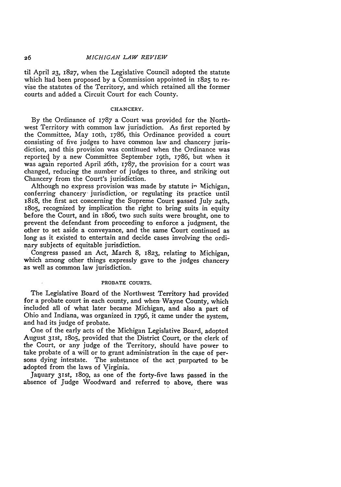til April **23, 1827,** when the Legislative Council adopted the statute which had been proposed by a Commission appointed in 1825 to revise the statutes of the Territory, and which retained all the former courts and added a Circuit Court for each County.

### CHANCERY.

By the Ordinance of 1787 a Court was provided for the Northwest Territory with common law jurisdiction. As first reported by the Committee, May ioth, 1786, this Ordinance provided a court consisting of five judges to have common law and chancery jurisdiction, and this provision was continued when the Ordinance was reported by a new Committee September 19th, 1786, but when it was again reported April 26th, 1787, the provision for a court was changed, reducing the number of judges to three, and striking out Chancery from the Court's jurisdiction.

Although no express provision was made by statute in Michigan. conferring chancery jurisdiction, or regulating its practice until 1818, the first act concerning the Supreme Court passed July 24th, 1805, recognized by implication the right to bring suits in equity before the Court, and in 18o6, two such suits were brought, one to prevent the defendant from proceeding to enforce a judgment, the other to set aside a conveyance, and the same Court continued as long as it existed to entertain and decide cases involving the ordinary subjects of equitable jurisdiction.

Congress passed an Act, March 8, 1823, relating to Michigan, which among other things expressly gave to the judges chancery as well as common law jurisdiction.

#### PROBATE **COURTS.**

The Legislative Board of the Northwest Territory had provided for a probate court in each county, and when- Wayne County, which included all of what later became Michigan, and also a part of Ohio and Indiana, was organized in 1796, it came under the system, and had its judge of probate.

One of the early acts of the Michigan Legislative Board, adopted August **31st, 18o5,** provided that the District Court, or the clerk of the Court, or any judge of the Territory, should have power to take probate of a will or to grant administration in the case of persons dying intestate. The substance of the act purported to be adopted from the laws of Virginia.

Jaquary 3ist, 18o9, as one of the forty-five laws passed in the absence of Judge Woodward and referred to above, there was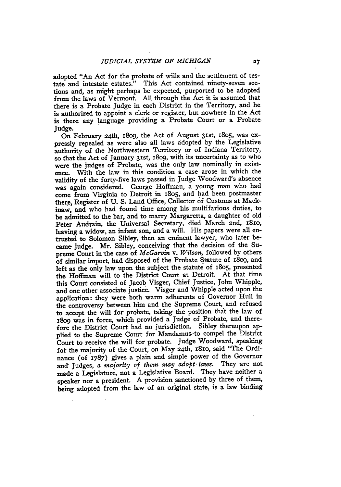adopted "An Act for the probate of wills and the settlement of testate and intestate estates." This Act contained ninety-seven sections and, as might perhaps be expected, purported to be adopted from the laws of Vermont. All through the Act it is assumed that there is a Probate Judge in each District in the Territory, and he is authorized to appoint a clerk or register, but nowhere in the Act is there any language providing a Probate Court or a Probate. Judge.

On February 24th, **18o9,** the Act of August 31st, i8o5, was expressly repealed as were also all laws adopted by the Legislative authority of the Northwestern Territory or of Indiana Territory, so that the Act of January 31st, 18o9, with its uncertainty as to who were the judges of Probate, was the only law nominally in existence. With the law in this condition a case arose in which the validity of the forty-five laws passed in Judge Woodward's absence was again considered. George Hoffman, a young man who had come from Virginia to Detroit in 18o5, and had been postmaster there, Register of U. S. Land Office, Collector of Customs at Mackinaw, and who had found time among his multifarious duties, to be admitted to the bar, and to marry Margaretta, a daughter of old Peter Audrain, the Universal Secretary, died March 2nd, 1810, leaving a widow, an infant son, and a will. His papers were all entrusted to Solomon Sibley, then an eminent lawyer, who later became- judge. Mr. Sibley, conceiving that the decision of the Supreme Court in the case of *McGarvin v. Wilson,* followed by others of similar import, had disposed of the Probate Statute of 18o9, and left as the only law upon the subject the statute of 1805, presented the Hoffman will to the District Court at Detroit. At that time this Court consisted of Jacob Visger, Chief Justice, John Whipple, and one other associate justice. Visger and Whipple acted upon the application: they were both warm adherents of Governor Hull in the controversy between him and the Supreme Court, and refused to accept the will for probate, taking the position that the law of 18o9 was in force, which provided a Judge of Probate, and therefore the District Court had no jurisdiction. Sibley thereupon applied to the Supreme Court for Mandamus-to compel the District Court to receive the will for probate. Judge Woodward, speaking for the majority of the Court, on May 24th, 1810, said "The Ordinance (of 1787) gives a plain and simple power of the Governor and Judges, *a majority* **of** *them "my* adopt- *laws.* They are not made a Legislature, not a Legislative Board. They have neither a speaker nor a president. A provision sanctioned **by** three of them, being adopted from the law of an original state, is a law binding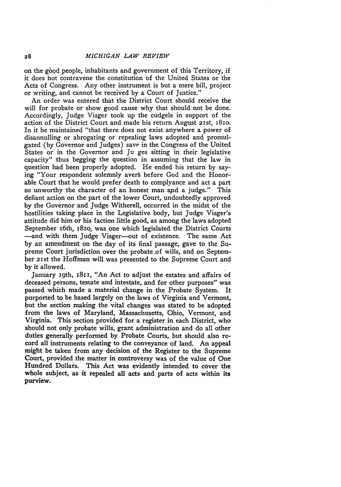on the gbod people, inhabitants and government of this Territory, if it does hot contravene the constitution of the United States or the Acts of Congress. Any other instrument is but a mere bill, project or writing, and cannot be received by a Court of Justice."

An order was entered that the District Court should receive the will for probate or show good cause why that should not be done. Accordingly, Judge Visger took up the cudgels in support of the action of the District Court and made his return August 2ist, i8io. In it he maintained "that there does not exist anywhere a power of disannulling or abrogating or repealing laws adopted and promulgated (by Governor and Judges) save in the Congress of the United States or in the Governor and Ju ges sitting in their legislative capacity" thus begging the question in assuming that the law in question had been properly adopted. He ended his return by saying "Your respondent solemnly avers before God and the Honorable Court that he would prefer death to complyance and act a part so unworthy the character of an honest man and a judge." This defiant action on the part of the lower Court, undoubtedly approved by the Governor and Judge Witherell, occurred in the midst of the hostilities taking place in the Legislative body, but Judge Visger's attitude did him or his faction little good, as among the laws adopted September 16th, 1810, was one which legislated the District Courts -and with them Judge Visger--out of existence. The same Act by an amendment on the day of its final passage, gave to the Supreme Court jurisdiction over the probate of wills, and on September 2Ist the Hoffman will was presented to the Supreme Court and by it allowed.

January 19th, 1811, "An Act to adjust the estates and affairs of deceased persons, testate and intestate, and for other purposes" was passed which made a material change in the Probate System. It purported to be based largely on the laws of Virginia and Vermont, but the section making the vital changes was stated to be adopted from the laws of Maryland, Massachusetts, Ohio, Vermont, and Virginia. This section provided for a register in each District, who should not only probate wills, grant administration and do all other duties generally performed by Probate Courts, but should also record all instruments relating to the conveyance of land. An appeal might be taken from any decision of the Register to the Supreme Court, provided the matter in controversy was of the value of One Hundred Dollars. This Act was evidently intended to cover the whole subject, as it repealed all acts and parts of acts within its purview.